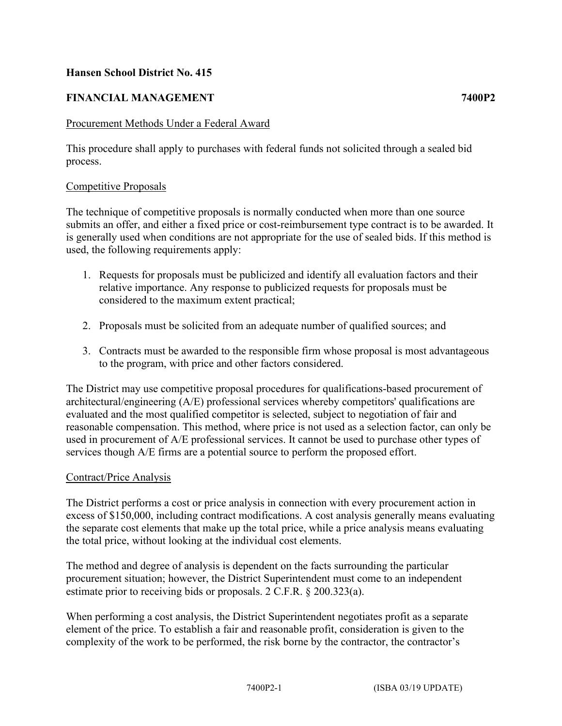## **Hansen School District No. 415**

# **FINANCIAL MANAGEMENT 7400P2**

### Procurement Methods Under a Federal Award

This procedure shall apply to purchases with federal funds not solicited through a sealed bid process.

### Competitive Proposals

The technique of competitive proposals is normally conducted when more than one source submits an offer, and either a fixed price or cost-reimbursement type contract is to be awarded. It is generally used when conditions are not appropriate for the use of sealed bids. If this method is used, the following requirements apply:

- 1. Requests for proposals must be publicized and identify all evaluation factors and their relative importance. Any response to publicized requests for proposals must be considered to the maximum extent practical;
- 2. Proposals must be solicited from an adequate number of qualified sources; and
- 3. Contracts must be awarded to the responsible firm whose proposal is most advantageous to the program, with price and other factors considered.

The District may use competitive proposal procedures for qualifications-based procurement of architectural/engineering (A/E) professional services whereby competitors' qualifications are evaluated and the most qualified competitor is selected, subject to negotiation of fair and reasonable compensation. This method, where price is not used as a selection factor, can only be used in procurement of A/E professional services. It cannot be used to purchase other types of services though A/E firms are a potential source to perform the proposed effort.

#### Contract/Price Analysis

The District performs a cost or price analysis in connection with every procurement action in excess of \$150,000, including contract modifications. A cost analysis generally means evaluating the separate cost elements that make up the total price, while a price analysis means evaluating the total price, without looking at the individual cost elements.

The method and degree of analysis is dependent on the facts surrounding the particular procurement situation; however, the District Superintendent must come to an independent estimate prior to receiving bids or proposals. 2 C.F.R. § 200.323(a).

When performing a cost analysis, the District Superintendent negotiates profit as a separate element of the price. To establish a fair and reasonable profit, consideration is given to the complexity of the work to be performed, the risk borne by the contractor, the contractor's